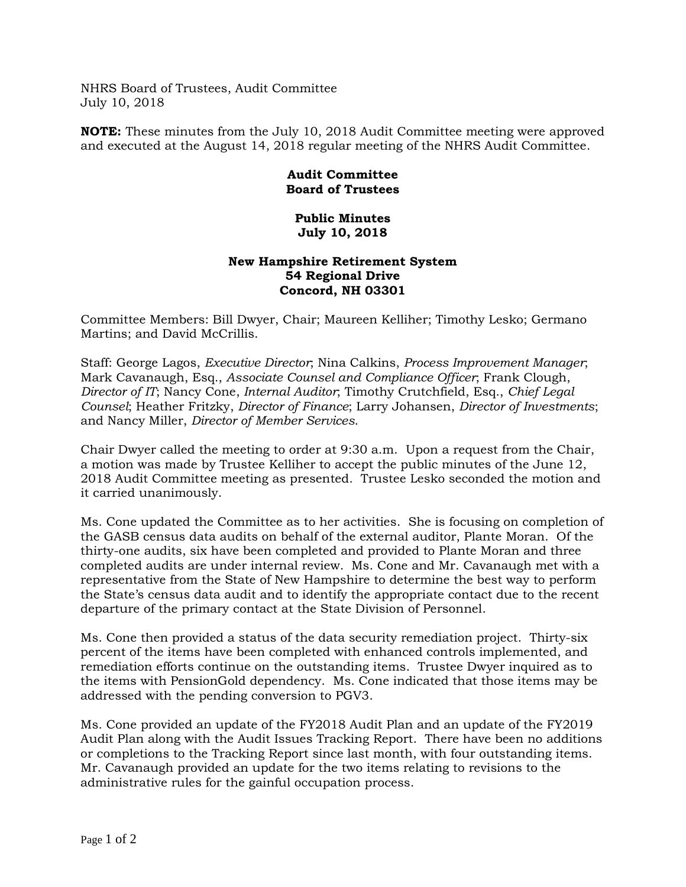NHRS Board of Trustees, Audit Committee July 10, 2018

**NOTE:** These minutes from the July 10, 2018 Audit Committee meeting were approved and executed at the August 14, 2018 regular meeting of the NHRS Audit Committee.

## **Audit Committee Board of Trustees**

## **Public Minutes July 10, 2018**

## **New Hampshire Retirement System 54 Regional Drive Concord, NH 03301**

Committee Members: Bill Dwyer, Chair; Maureen Kelliher; Timothy Lesko; Germano Martins; and David McCrillis.

Staff: George Lagos, *Executive Director*; Nina Calkins, *Process Improvement Manager*; Mark Cavanaugh, Esq., *Associate Counsel and Compliance Officer*; Frank Clough, *Director of IT*; Nancy Cone, *Internal Auditor*; Timothy Crutchfield, Esq., *Chief Legal Counsel*; Heather Fritzky, *Director of Finance*; Larry Johansen, *Director of Investments*; and Nancy Miller, *Director of Member Services*.

Chair Dwyer called the meeting to order at 9:30 a.m. Upon a request from the Chair, a motion was made by Trustee Kelliher to accept the public minutes of the June 12, 2018 Audit Committee meeting as presented. Trustee Lesko seconded the motion and it carried unanimously.

Ms. Cone updated the Committee as to her activities. She is focusing on completion of the GASB census data audits on behalf of the external auditor, Plante Moran. Of the thirty-one audits, six have been completed and provided to Plante Moran and three completed audits are under internal review. Ms. Cone and Mr. Cavanaugh met with a representative from the State of New Hampshire to determine the best way to perform the State's census data audit and to identify the appropriate contact due to the recent departure of the primary contact at the State Division of Personnel.

Ms. Cone then provided a status of the data security remediation project. Thirty-six percent of the items have been completed with enhanced controls implemented, and remediation efforts continue on the outstanding items. Trustee Dwyer inquired as to the items with PensionGold dependency. Ms. Cone indicated that those items may be addressed with the pending conversion to PGV3.

Ms. Cone provided an update of the FY2018 Audit Plan and an update of the FY2019 Audit Plan along with the Audit Issues Tracking Report. There have been no additions or completions to the Tracking Report since last month, with four outstanding items. Mr. Cavanaugh provided an update for the two items relating to revisions to the administrative rules for the gainful occupation process.